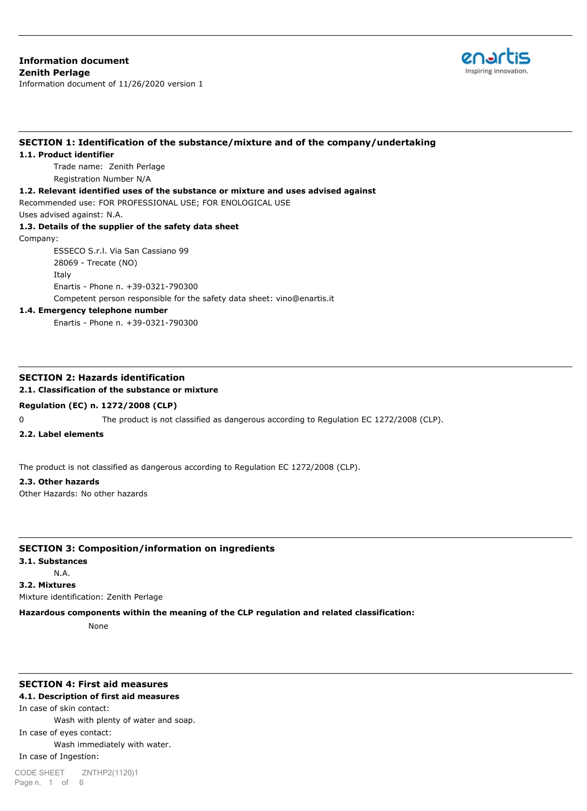# **Information document Zenith Perlage**

Information document of 11/26/2020 version 1



# **SECTION 1: Identification of the substance/mixture and of the company/undertaking**

#### **1.1. Product identifier**

Trade name: Zenith Perlage Registration Number N/A

#### **1.2. Relevant identified uses of the substance or mixture and uses advised against**

Recommended use: FOR PROFESSIONAL USE; FOR ENOLOGICAL USE Uses advised against: N.A.

# **1.3. Details of the supplier of the safety data sheet**

Company:

ESSECO S.r.l. Via San Cassiano 99 28069 - Trecate (NO) Italy Enartis - Phone n. +39-0321-790300 Competent person responsible for the safety data sheet: vino@enartis.it

#### **1.4. Emergency telephone number**

Enartis - Phone n. +39-0321-790300

## **SECTION 2: Hazards identification**

#### **2.1. Classification of the substance or mixture**

#### **Regulation (EC) n. 1272/2008 (CLP)**

0 The product is not classified as dangerous according to Regulation EC 1272/2008 (CLP).

#### **2.2. Label elements**

The product is not classified as dangerous according to Regulation EC 1272/2008 (CLP).

#### **2.3. Other hazards**

Other Hazards: No other hazards

#### **SECTION 3: Composition/information on ingredients**

#### **3.1. Substances**

N.A.

**3.2. Mixtures**

Mixture identification: Zenith Perlage

#### **Hazardous components within the meaning of the CLP regulation and related classification:**

None

#### **SECTION 4: First aid measures**

#### **4.1. Description of first aid measures**

In case of skin contact:

Wash with plenty of water and soap.

In case of eyes contact:

#### Wash immediately with water.

In case of Ingestion: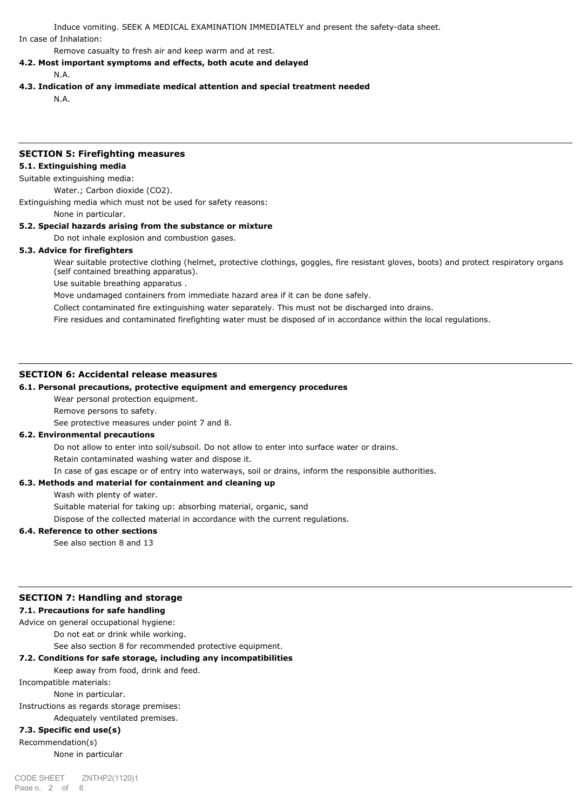Induce vomiting. SEEK A MEDICAL EXAMINATION IMMEDIATELY and present the safety-data sheet. In case of Inhalation:

Remove casualty to fresh air and keep warm and at rest.

#### **4.2. Most important symptoms and effects, both acute and delayed**

N.A.

#### **4.3. Indication of any immediate medical attention and special treatment needed**

N.A.

#### **SECTION 5: Firefighting measures**

#### **5.1. Extinguishing media**

Suitable extinguishing media:

Water.; Carbon dioxide (CO2).

Extinguishing media which must not be used for safety reasons:

None in particular.

#### **5.2. Special hazards arising from the substance or mixture**

Do not inhale explosion and combustion gases.

#### **5.3. Advice for firefighters**

Wear suitable protective clothing (helmet, protective clothings, goggles, fire resistant gloves, boots) and protect respiratory organs (self contained breathing apparatus).

Use suitable breathing apparatus .

Move undamaged containers from immediate hazard area if it can be done safely.

Collect contaminated fire extinguishing water separately. This must not be discharged into drains.

Fire residues and contaminated firefighting water must be disposed of in accordance within the local regulations.

#### **SECTION 6: Accidental release measures**

#### **6.1. Personal precautions, protective equipment and emergency procedures**

Wear personal protection equipment.

Remove persons to safety.

See protective measures under point 7 and 8.

#### **6.2. Environmental precautions**

Do not allow to enter into soil/subsoil. Do not allow to enter into surface water or drains.

Retain contaminated washing water and dispose it.

In case of gas escape or of entry into waterways, soil or drains, inform the responsible authorities.

#### **6.3. Methods and material for containment and cleaning up**

Wash with plenty of water.

Suitable material for taking up: absorbing material, organic, sand

Dispose of the collected material in accordance with the current regulations.

#### **6.4. Reference to other sections**

See also section 8 and 13

#### **SECTION 7: Handling and storage**

#### **7.1. Precautions for safe handling**

Advice on general occupational hygiene:

Do not eat or drink while working.

See also section 8 for recommended protective equipment.

### **7.2. Conditions for safe storage, including any incompatibilities**

#### Keep away from food, drink and feed.

Incompatible materials:

None in particular.

Instructions as regards storage premises:

Adequately ventilated premises.

# **7.3. Specific end use(s)**

Recommendation(s) None in particular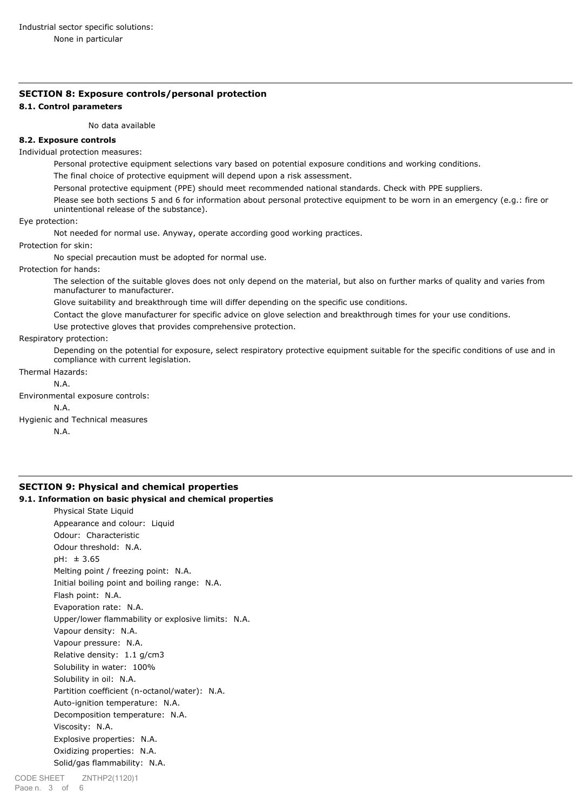# **SECTION 8: Exposure controls/personal protection**

#### **8.1. Control parameters**

No data available

#### **8.2. Exposure controls**

Individual protection measures:

Personal protective equipment selections vary based on potential exposure conditions and working conditions.

The final choice of protective equipment will depend upon a risk assessment.

Personal protective equipment (PPE) should meet recommended national standards. Check with PPE suppliers.

Please see both sections 5 and 6 for information about personal protective equipment to be worn in an emergency (e.g.: fire or unintentional release of the substance).

#### Eye protection:

Not needed for normal use. Anyway, operate according good working practices.

Protection for skin:

No special precaution must be adopted for normal use.

#### Protection for hands:

The selection of the suitable gloves does not only depend on the material, but also on further marks of quality and varies from manufacturer to manufacturer.

Glove suitability and breakthrough time will differ depending on the specific use conditions.

Contact the glove manufacturer for specific advice on glove selection and breakthrough times for your use conditions.

Use protective gloves that provides comprehensive protection.

#### Respiratory protection:

Depending on the potential for exposure, select respiratory protective equipment suitable for the specific conditions of use and in compliance with current legislation.

# Thermal Hazards:

N.A.

Environmental exposure controls:

#### N.A.

Hygienic and Technical measures

N.A.

# **SECTION 9: Physical and chemical properties**

**9.1. Information on basic physical and chemical properties**

Physical State Liquid Appearance and colour: Liquid Odour: Characteristic Odour threshold: N.A. pH: ± 3.65 Melting point / freezing point: N.A. Initial boiling point and boiling range: N.A. Flash point: N.A. Evaporation rate: N.A. Upper/lower flammability or explosive limits: N.A. Vapour density: N.A. Vapour pressure: N.A. Relative density: 1.1 g/cm3 Solubility in water: 100% Solubility in oil: N.A. Partition coefficient (n-octanol/water): N.A. Auto-ignition temperature: N.A. Decomposition temperature: N.A. Viscosity: N.A. Explosive properties: N.A. Oxidizing properties: N.A. Solid/gas flammability: N.A.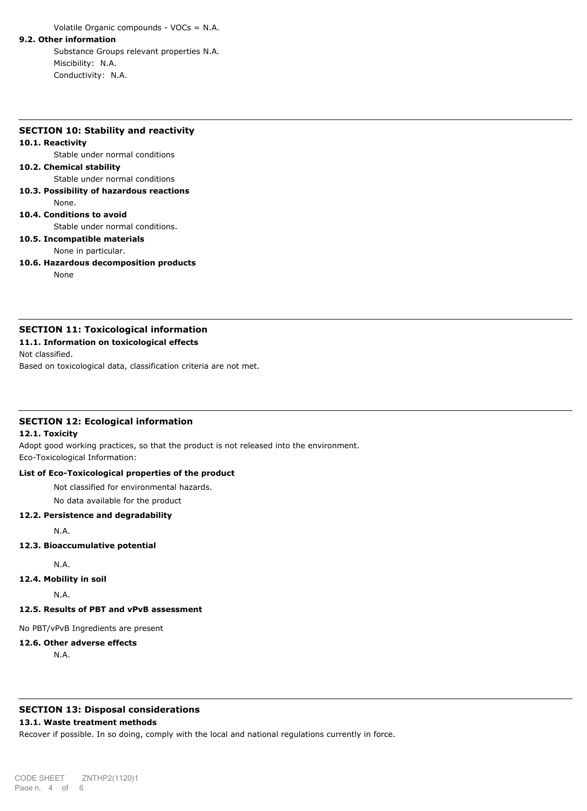Volatile Organic compounds - VOCs = N.A.

#### **9.2. Other information**

Substance Groups relevant properties N.A. Miscibility: N.A. Conductivity: N.A.

#### **SECTION 10: Stability and reactivity**

#### **10.1. Reactivity**

Stable under normal conditions

#### **10.2. Chemical stability**

Stable under normal conditions

- **10.3. Possibility of hazardous reactions**
	- None.

# **10.4. Conditions to avoid**

Stable under normal conditions.

# **10.5. Incompatible materials**

None in particular.

**10.6. Hazardous decomposition products**

None

#### **SECTION 11: Toxicological information**

#### **11.1. Information on toxicological effects**

Not classified.

Based on toxicological data, classification criteria are not met.

#### **SECTION 12: Ecological information**

#### **12.1. Toxicity**

Adopt good working practices, so that the product is not released into the environment. Eco-Toxicological Information:

#### **List of Eco-Toxicological properties of the product**

Not classified for environmental hazards.

No data available for the product

#### **12.2. Persistence and degradability**

N.A.

#### **12.3. Bioaccumulative potential**

N.A.

**12.4. Mobility in soil**

N.A.

# **12.5. Results of PBT and vPvB assessment**

No PBT/vPvB Ingredients are present

## **12.6. Other adverse effects**

N.A.

# **SECTION 13: Disposal considerations**

## **13.1. Waste treatment methods**

Recover if possible. In so doing, comply with the local and national regulations currently in force.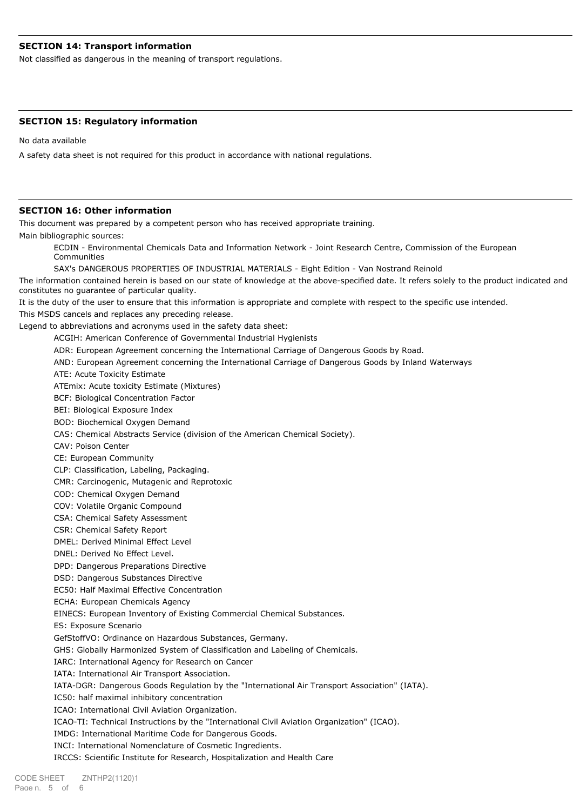### **SECTION 14: Transport information**

Not classified as dangerous in the meaning of transport regulations.

#### **SECTION 15: Regulatory information**

No data available

A safety data sheet is not required for this product in accordance with national regulations.

#### **SECTION 16: Other information**

This document was prepared by a competent person who has received appropriate training. Main bibliographic sources:

ECDIN - Environmental Chemicals Data and Information Network - Joint Research Centre, Commission of the European Communities

SAX's DANGEROUS PROPERTIES OF INDUSTRIAL MATERIALS - Eight Edition - Van Nostrand Reinold

The information contained herein is based on our state of knowledge at the above-specified date. It refers solely to the product indicated and constitutes no guarantee of particular quality.

It is the duty of the user to ensure that this information is appropriate and complete with respect to the specific use intended.

This MSDS cancels and replaces any preceding release.

Legend to abbreviations and acronyms used in the safety data sheet:

ACGIH: American Conference of Governmental Industrial Hygienists

ADR: European Agreement concerning the International Carriage of Dangerous Goods by Road.

AND: European Agreement concerning the International Carriage of Dangerous Goods by Inland Waterways

ATE: Acute Toxicity Estimate

ATEmix: Acute toxicity Estimate (Mixtures)

BCF: Biological Concentration Factor

BEI: Biological Exposure Index

BOD: Biochemical Oxygen Demand

CAS: Chemical Abstracts Service (division of the American Chemical Society).

CAV: Poison Center

CE: European Community

CLP: Classification, Labeling, Packaging.

CMR: Carcinogenic, Mutagenic and Reprotoxic

COD: Chemical Oxygen Demand

COV: Volatile Organic Compound

CSA: Chemical Safety Assessment

CSR: Chemical Safety Report

DMEL: Derived Minimal Effect Level

DNEL: Derived No Effect Level.

DPD: Dangerous Preparations Directive

DSD: Dangerous Substances Directive

EC50: Half Maximal Effective Concentration

ECHA: European Chemicals Agency

EINECS: European Inventory of Existing Commercial Chemical Substances.

ES: Exposure Scenario

GefStoffVO: Ordinance on Hazardous Substances, Germany.

GHS: Globally Harmonized System of Classification and Labeling of Chemicals.

IARC: International Agency for Research on Cancer

IATA: International Air Transport Association.

IATA-DGR: Dangerous Goods Regulation by the "International Air Transport Association" (IATA).

IC50: half maximal inhibitory concentration

ICAO: International Civil Aviation Organization.

ICAO-TI: Technical Instructions by the "International Civil Aviation Organization" (ICAO).

IMDG: International Maritime Code for Dangerous Goods.

INCI: International Nomenclature of Cosmetic Ingredients.

IRCCS: Scientific Institute for Research, Hospitalization and Health Care